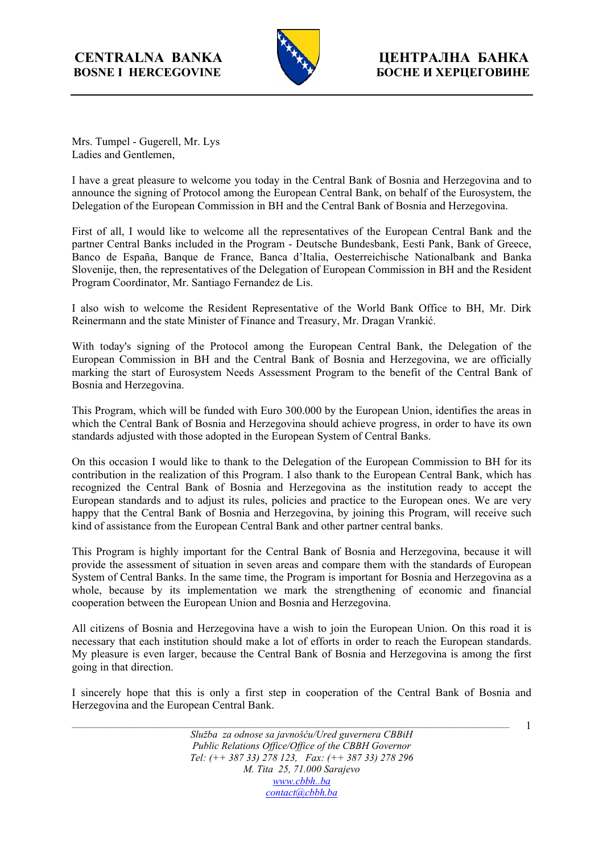

Mrs. Tumpel - Gugerell, Mr. Lys Ladies and Gentlemen,

I have a great pleasure to welcome you today in the Central Bank of Bosnia and Herzegovina and to announce the signing of Protocol among the European Central Bank, on behalf of the Eurosystem, the Delegation of the European Commission in BH and the Central Bank of Bosnia and Herzegovina.

First of all, I would like to welcome all the representatives of the European Central Bank and the partner Central Banks included in the Program - Deutsche Bundesbank, Eesti Pank, Bank of Greece, Banco de España, Banque de France, Banca d'Italia, Oesterreichische Nationalbank and Banka Slovenije, then, the representatives of the Delegation of European Commission in BH and the Resident Program Coordinator, Mr. Santiago Fernandez de Lis.

I also wish to welcome the Resident Representative of the World Bank Office to BH, Mr. Dirk Reinermann and the state Minister of Finance and Treasury, Mr. Dragan Vrankić.

With today's signing of the Protocol among the European Central Bank, the Delegation of the European Commission in BH and the Central Bank of Bosnia and Herzegovina, we are officially marking the start of Eurosystem Needs Assessment Program to the benefit of the Central Bank of Bosnia and Herzegovina.

This Program, which will be funded with Euro 300.000 by the European Union, identifies the areas in which the Central Bank of Bosnia and Herzegovina should achieve progress, in order to have its own standards adjusted with those adopted in the European System of Central Banks.

On this occasion I would like to thank to the Delegation of the European Commission to BH for its contribution in the realization of this Program. I also thank to the European Central Bank, which has recognized the Central Bank of Bosnia and Herzegovina as the institution ready to accept the European standards and to adjust its rules, policies and practice to the European ones. We are very happy that the Central Bank of Bosnia and Herzegovina, by joining this Program, will receive such kind of assistance from the European Central Bank and other partner central banks.

This Program is highly important for the Central Bank of Bosnia and Herzegovina, because it will provide the assessment of situation in seven areas and compare them with the standards of European System of Central Banks. In the same time, the Program is important for Bosnia and Herzegovina as a whole, because by its implementation we mark the strengthening of economic and financial cooperation between the European Union and Bosnia and Herzegovina.

All citizens of Bosnia and Herzegovina have a wish to join the European Union. On this road it is necessary that each institution should make a lot of efforts in order to reach the European standards. My pleasure is even larger, because the Central Bank of Bosnia and Herzegovina is among the first going in that direction.

I sincerely hope that this is only a first step in cooperation of the Central Bank of Bosnia and Herzegovina and the European Central Bank.

1